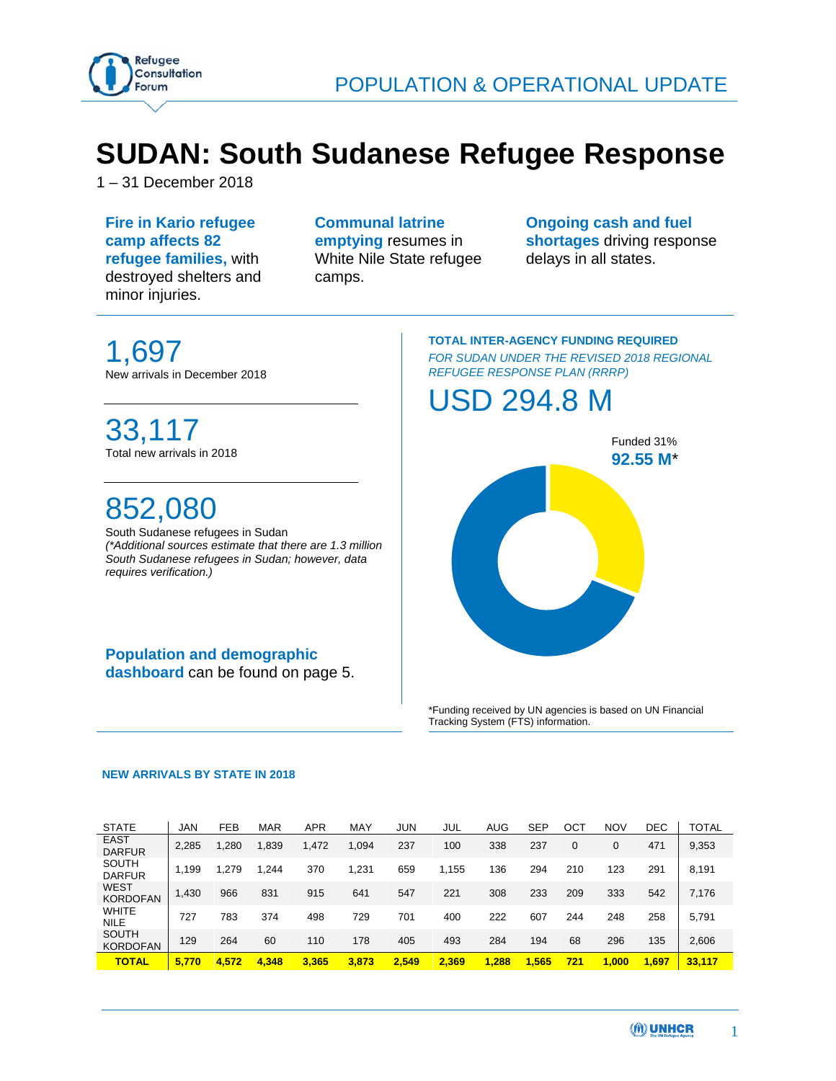

# **SUDAN: South Sudanese Refugee Response**

1 – 31 December 2018

**Fire in Kario refugee camp affects 82 refugee families,** with destroyed shelters and minor injuries.

**Communal latrine emptying** resumes in White Nile State refugee camps.

**Ongoing cash and fuel shortages** driving response delays in all states.

1,697 New arrivals in December 2018

## 33,117 Total new arrivals in 2018

## 852,080

South Sudanese refugees in Sudan *(\*Additional sources estimate that there are 1.3 million South Sudanese refugees in Sudan; however, data requires verification.)* 

**Population and demographic dashboard** can be found on page 5.

#### **TOTAL INTER-AGENCY FUNDING REQUIRED**  *FOR SUDAN UNDER THE REVISED 2018 REGIONAL REFUGEE RESPONSE PLAN (RRRP)*

## USD 294.8 M



\*Funding received by UN agencies is based on UN Financial Tracking System (FTS) information.

#### **NEW ARRIVALS BY STATE IN 2018**

| <b>STATE</b>                    | JAN   | <b>FEB</b> | <b>MAR</b> | <b>APR</b> | MAY   | <b>JUN</b> | JUL   | AUG   | <b>SEP</b> | <b>OCT</b> | <b>NOV</b> | <b>DEC</b> | TOTAL  |
|---------------------------------|-------|------------|------------|------------|-------|------------|-------|-------|------------|------------|------------|------------|--------|
| <b>EAST</b><br><b>DARFUR</b>    | 2.285 | .280       | 1,839      | .472       | 1.094 | 237        | 100   | 338   | 237        | 0          |            | 471        | 9,353  |
| <b>SOUTH</b><br><b>DARFUR</b>   | 1.199 | .279       | 1.244      | 370        | 1.231 | 659        | .155  | 136   | 294        | 210        | 123        | 291        | 8.191  |
| <b>WEST</b><br><b>KORDOFAN</b>  | 1.430 | 966        | 831        | 915        | 641   | 547        | 221   | 308   | 233        | 209        | 333        | 542        | 7.176  |
| <b>WHITE</b><br><b>NILE</b>     | 727   | 783        | 374        | 498        | 729   | 701        | 400   | 222   | 607        | 244        | 248        | 258        | 5,791  |
| <b>SOUTH</b><br><b>KORDOFAN</b> | 129   | 264        | 60         | 110        | 178   | 405        | 493   | 284   | 194        | 68         | 296        | 135        | 2,606  |
| TOTAL                           | 5.770 | 4.572      | 4.348      | 3.365      | 3.873 | 2.549      | 2.369 | 1.288 | 1,565      | 721        | 1.000      | .697       | 33.117 |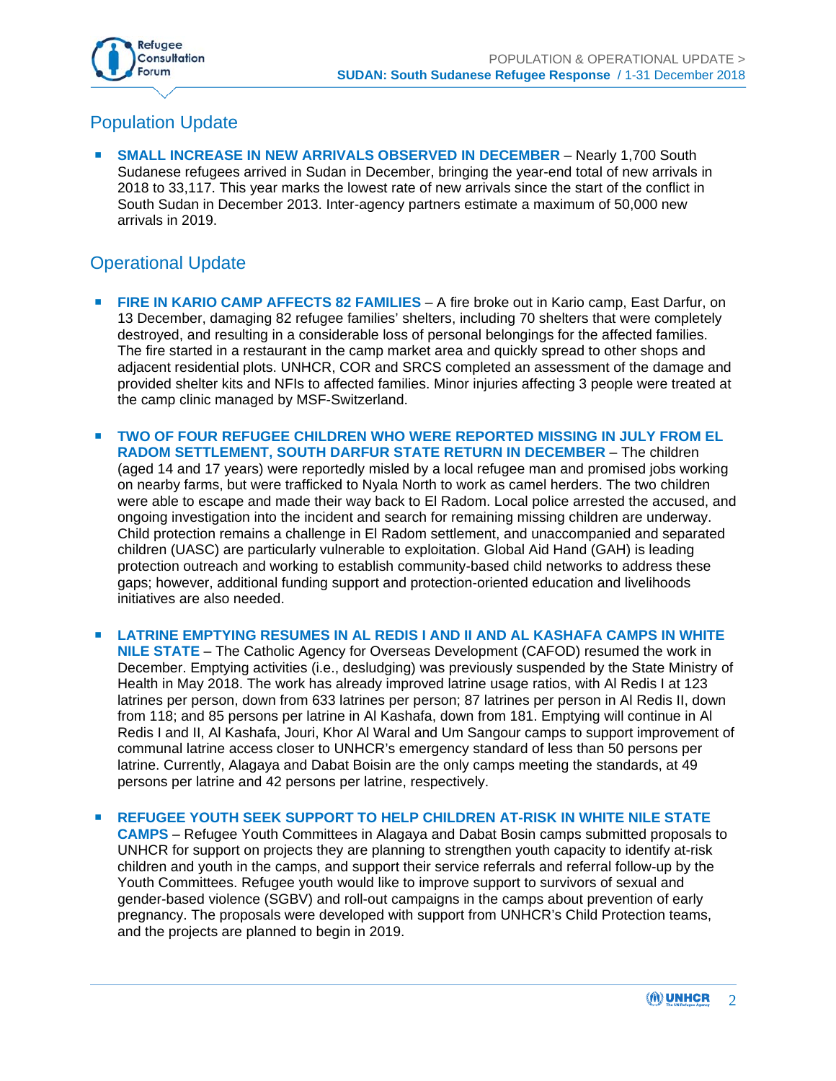

## Population Update

 **SMALL INCREASE IN NEW ARRIVALS OBSERVED IN DECEMBER** – Nearly 1,700 South Sudanese refugees arrived in Sudan in December, bringing the year-end total of new arrivals in 2018 to 33,117. This year marks the lowest rate of new arrivals since the start of the conflict in South Sudan in December 2013. Inter-agency partners estimate a maximum of 50,000 new arrivals in 2019.

### Operational Update

- **FIRE IN KARIO CAMP AFFECTS 82 FAMILIES** A fire broke out in Kario camp, East Darfur, on 13 December, damaging 82 refugee families' shelters, including 70 shelters that were completely destroyed, and resulting in a considerable loss of personal belongings for the affected families. The fire started in a restaurant in the camp market area and quickly spread to other shops and adjacent residential plots. UNHCR, COR and SRCS completed an assessment of the damage and provided shelter kits and NFIs to affected families. Minor injuries affecting 3 people were treated at the camp clinic managed by MSF-Switzerland.
- **TWO OF FOUR REFUGEE CHILDREN WHO WERE REPORTED MISSING IN JULY FROM EL RADOM SETTLEMENT, SOUTH DARFUR STATE RETURN IN DECEMBER** – The children (aged 14 and 17 years) were reportedly misled by a local refugee man and promised jobs working on nearby farms, but were trafficked to Nyala North to work as camel herders. The two children were able to escape and made their way back to El Radom. Local police arrested the accused, and ongoing investigation into the incident and search for remaining missing children are underway. Child protection remains a challenge in El Radom settlement, and unaccompanied and separated children (UASC) are particularly vulnerable to exploitation. Global Aid Hand (GAH) is leading protection outreach and working to establish community-based child networks to address these gaps; however, additional funding support and protection-oriented education and livelihoods initiatives are also needed.
- **LATRINE EMPTYING RESUMES IN AL REDIS I AND II AND AL KASHAFA CAMPS IN WHITE NILE STATE** – The Catholic Agency for Overseas Development (CAFOD) resumed the work in December. Emptying activities (i.e., desludging) was previously suspended by the State Ministry of Health in May 2018. The work has already improved latrine usage ratios, with Al Redis I at 123 latrines per person, down from 633 latrines per person; 87 latrines per person in Al Redis II, down from 118; and 85 persons per latrine in Al Kashafa, down from 181. Emptying will continue in Al Redis I and II, Al Kashafa, Jouri, Khor Al Waral and Um Sangour camps to support improvement of communal latrine access closer to UNHCR's emergency standard of less than 50 persons per latrine. Currently, Alagaya and Dabat Boisin are the only camps meeting the standards, at 49 persons per latrine and 42 persons per latrine, respectively.
- **REFUGEE YOUTH SEEK SUPPORT TO HELP CHILDREN AT-RISK IN WHITE NILE STATE CAMPS** – Refugee Youth Committees in Alagaya and Dabat Bosin camps submitted proposals to UNHCR for support on projects they are planning to strengthen youth capacity to identify at-risk children and youth in the camps, and support their service referrals and referral follow-up by the Youth Committees. Refugee youth would like to improve support to survivors of sexual and gender-based violence (SGBV) and roll-out campaigns in the camps about prevention of early pregnancy. The proposals were developed with support from UNHCR's Child Protection teams, and the projects are planned to begin in 2019.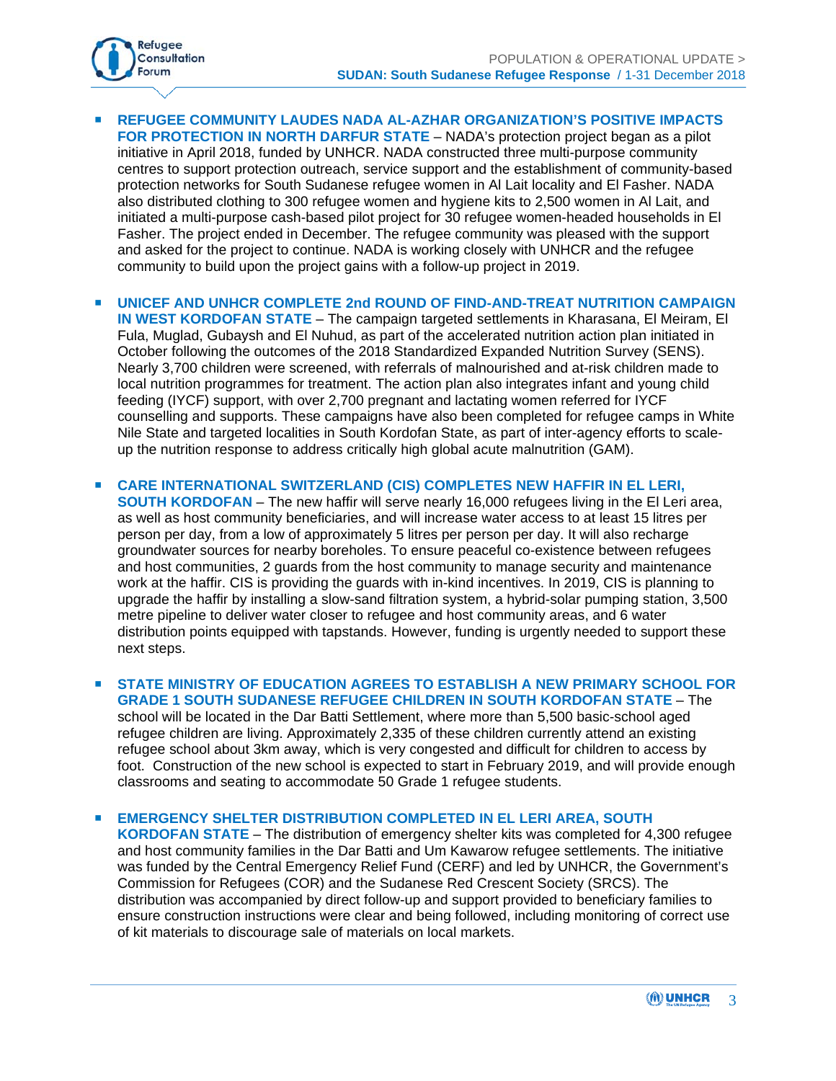

- **REFUGEE COMMUNITY LAUDES NADA AL-AZHAR ORGANIZATION'S POSITIVE IMPACTS FOR PROTECTION IN NORTH DARFUR STATE** – NADA's protection project began as a pilot initiative in April 2018, funded by UNHCR. NADA constructed three multi-purpose community centres to support protection outreach, service support and the establishment of community-based protection networks for South Sudanese refugee women in Al Lait locality and El Fasher. NADA also distributed clothing to 300 refugee women and hygiene kits to 2,500 women in Al Lait, and initiated a multi-purpose cash-based pilot project for 30 refugee women-headed households in El Fasher. The project ended in December. The refugee community was pleased with the support and asked for the project to continue. NADA is working closely with UNHCR and the refugee community to build upon the project gains with a follow-up project in 2019.
- **UNICEF AND UNHCR COMPLETE 2nd ROUND OF FIND-AND-TREAT NUTRITION CAMPAIGN IN WEST KORDOFAN STATE** – The campaign targeted settlements in Kharasana, El Meiram, El Fula, Muglad, Gubaysh and El Nuhud, as part of the accelerated nutrition action plan initiated in October following the outcomes of the 2018 Standardized Expanded Nutrition Survey (SENS). Nearly 3,700 children were screened, with referrals of malnourished and at-risk children made to local nutrition programmes for treatment. The action plan also integrates infant and young child feeding (IYCF) support, with over 2,700 pregnant and lactating women referred for IYCF counselling and supports. These campaigns have also been completed for refugee camps in White Nile State and targeted localities in South Kordofan State, as part of inter-agency efforts to scaleup the nutrition response to address critically high global acute malnutrition (GAM).
- **E CARE INTERNATIONAL SWITZERLAND (CIS) COMPLETES NEW HAFFIR IN EL LERI, SOUTH KORDOFAN** – The new haffir will serve nearly 16,000 refugees living in the El Leri area, as well as host community beneficiaries, and will increase water access to at least 15 litres per person per day, from a low of approximately 5 litres per person per day. It will also recharge groundwater sources for nearby boreholes. To ensure peaceful co-existence between refugees and host communities, 2 guards from the host community to manage security and maintenance work at the haffir. CIS is providing the guards with in-kind incentives. In 2019, CIS is planning to upgrade the haffir by installing a slow-sand filtration system, a hybrid-solar pumping station, 3,500 metre pipeline to deliver water closer to refugee and host community areas, and 6 water distribution points equipped with tapstands. However, funding is urgently needed to support these next steps.
- **STATE MINISTRY OF EDUCATION AGREES TO ESTABLISH A NEW PRIMARY SCHOOL FOR GRADE 1 SOUTH SUDANESE REFUGEE CHILDREN IN SOUTH KORDOFAN STATE** – The school will be located in the Dar Batti Settlement, where more than 5,500 basic-school aged refugee children are living. Approximately 2,335 of these children currently attend an existing refugee school about 3km away, which is very congested and difficult for children to access by foot. Construction of the new school is expected to start in February 2019, and will provide enough classrooms and seating to accommodate 50 Grade 1 refugee students.
- **EMERGENCY SHELTER DISTRIBUTION COMPLETED IN EL LERI AREA, SOUTH**

**KORDOFAN STATE** – The distribution of emergency shelter kits was completed for 4,300 refugee and host community families in the Dar Batti and Um Kawarow refugee settlements. The initiative was funded by the Central Emergency Relief Fund (CERF) and led by UNHCR, the Government's Commission for Refugees (COR) and the Sudanese Red Crescent Society (SRCS). The distribution was accompanied by direct follow-up and support provided to beneficiary families to ensure construction instructions were clear and being followed, including monitoring of correct use of kit materials to discourage sale of materials on local markets.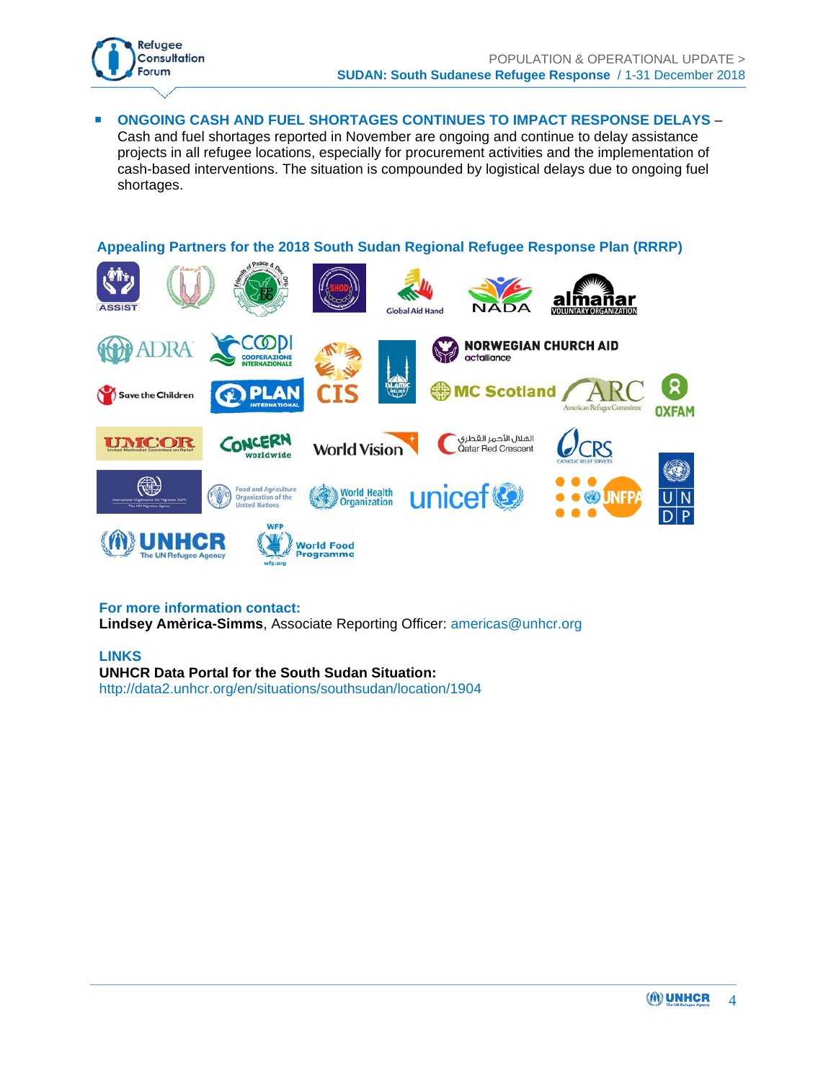

 **ONGOING CASH AND FUEL SHORTAGES CONTINUES TO IMPACT RESPONSE DELAYS** – Cash and fuel shortages reported in November are ongoing and continue to delay assistance projects in all refugee locations, especially for procurement activities and the implementation of cash-based interventions. The situation is compounded by logistical delays due to ongoing fuel shortages.

### **Appealing Partners for the 2018 South Sudan Regional Refugee Response Plan (RRRP)**



#### **For more information contact:**

**Lindsey Amèrica-Simms**, Associate Reporting Officer: americas@unhcr.org

#### **LINKS UNHCR Data Portal for the South Sudan Situation:**  http://data2.unhcr.org/en/situations/southsudan/location/1904